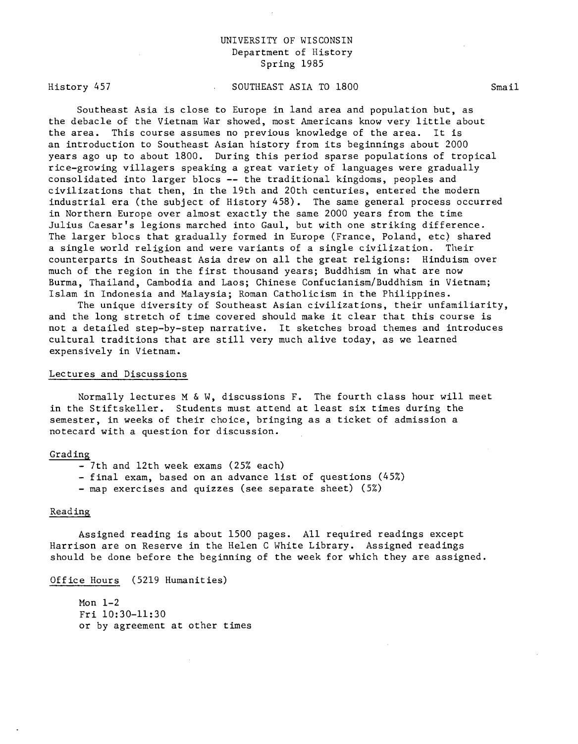## UNIVERSITY OF WISCONSIN Department of History Spring 1985

History 457

### SOUTHEAST ASIA TO 1800 Smail

Southeast Asia is close to Europe in land area and population but, as the debacle of the Vietnam War showed, most Americans know very little about the area. This course assumes no previous knowledge of the area. It is an introduction to Southeast Asian history from its beginnings about 2000 years ago up to about 1800. During this period sparse populations of tropical rice-growing villagers speaking a great variety of languages were gradually consolidated into larger blocs -- the traditional kingdoms, peoples and civilizations that then, in the 19th and 20th centuries, entered the modern industrial era (the subject of History 458). The same general process occurred in Northern Europe over almost exactly the same 2000 years from the time Julius Caesar's legions marched into Gaul, but with one striking difference. The larger blocs that gradually formed in Europe (France, Poland, etc) shared a single world religion and were variants of a single civilization. Their counterparts in Southeast Asia drew on all the great religions: Hinduism over much of the region in the first thousand years; Buddhism in what are now Burma, Thailand, Cambodia and Laos; Chinese Confucianism/Buddhism in Vietnam; Islam in Indonesia and Malaysia; Roman Catholicism in the Philippines.

The unique diversity of Southeast Asian civilizations, their unfamiliarity, and the long stretch of time covered should make it clear that this course is not a detailed step-by-step narrative. It sketches broad themes and introduces cultural traditions that are still very much alive today, as we learned expensively in Vietnam.

#### Lectures and Discussions

Normally lectures M & H, discussions F. The fourth class hour will meet in the Stiftskeller. Students must attend at least six times during the semester, in weeks of their choice, bringing as a ticket of admission a notecard with a question for discussion.

### Grading

- 7th and 12th week exams (25% each)
- final exam, based on an advance list of questions (45%)
- map exercises and quizzes (see separate sheet) (5%)

#### Reading

Assigned reading is about 1500 pages. All required readings except Harrison are on Reserve in the Helen C White Library. Assigned readings should be done before the beginning of the week for which they are assigned.

### Office Hours (5219 Humanities)

Mon  $1-2$ Fri 10:30-11:30 or by agreement at other times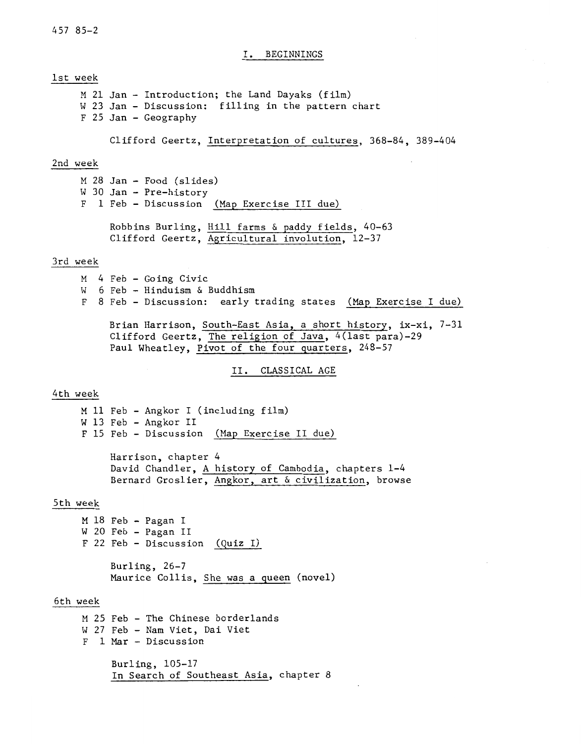457 85-2

## I. BEGINNINGS

#### 1st week

M 21 Jan - Introduction; the Land Dayaks (film) W 23 Jan - Discussion: filling in the pattern chart F 25 Jan - Geography

Clifford Geertz, Interpretation of cultures, 368-84, 389-404

### 2nd week

```
M 28 Jan - Food (slides) 
W 30 Jan - Pre-history
F 1 Feb - Discussion (Map Exercise III due) 
     Robbins Burling, Hill farms & paddy fields, 40-63 
     Clifford Geertz, Agricultural involution, 12-37
```
## 3rd week

M 4 Feb - Going Civic w 6 Feb - Hinduism & Buddhism F 8 Feb - Discussion: early trading states (Map Exercise I due)

Brian Harrison, South-East Asia, a short history, ix-xi, 7-31 Clifford Geertz, The religion of Java, 4(last para)-29 Paul Wheatley, Pivot of the four quarters, 248-57

II. CLASSICAL AGE

# 4th week

M 11 Feb - Angkor I (including film) w 13 Feb - Angkor II F 15 Feb - Discussion (Map Exercise II due)

> Harrison, chapter 4 David Chandler, A history of Cambodia, chapters 1-4 Bernard Groslier, Angkor, art & civilization, browse

## 5th week

M 18 Feb - Pagan I W 20 Feb - Pagan II F 22 Feb - Discussion (Quiz I)

> Burling, 26-7 Maurice Collis, She was a queen (novel)

## 6th week

```
M 25 Feb - The Chinese borderlands 
W 27 Feb - Nam Viet, Dai Viet 
F 1 Mar - Discussion 
     Burling, 105-17 
     In Search of Southeast Asia, chapter 8
```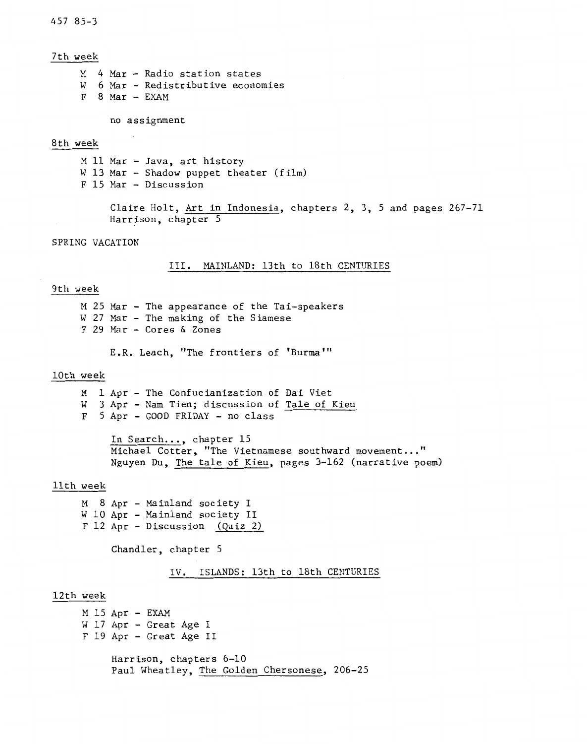457 85-3

7th week

```
M 4 Mar - Radio station states 
W 6 Mar - Redistributive economies 
F 8 Mar - EXAM
```
no assignment

### 8th week

M 11 Mar - Java, art history W 13 Mar - Shadow puppet theater (film) F 15 Mar - Discussion

```
Claire Holt, Art in Indonesia, chapters 2, 3, 5 and pages 267-71 
Harrison, chapter 5
```
SPRING VACATION

III. MAINLAND: 13th to 18th CENTURIES

## 9th week

M 25 Mar - The appearance of the Tai-speakers W 27 Mar - The making of the Siamese F 29 Mar - Cores & Zones

E .R. Leach, "The frontiers of 'Burma"'

### lOth week

M 1 Apr - The Confucianization of Dai Viet W 3 Apr - Nam Tien; discussion of Tale of Kieu F 5 Apr - GOOD FRIDAY - no class

In Search..., chapter 15 Michael Cotter, "The Vietnamese southward movement..." Nguyen Du, The tale of Kieu, pages 3-162 (narrative poem)

### 11th week

M 8 Apr - Mainland society I W 10 Apr - Mainland society II F 12 Apr - Discussion (Quiz 2)

Chandler, chapter 5

```
IV. ISLANDS: 13th to 18th CENTURIES
```
### 12th week

```
M 15 Apr - EXAM
W 17 Apr - Great Age I
F 19 Apr - Great Age II 
     Harrison, chapters 6-10 
     Paul Wheatley, The Golden Chersonese, 206-25
```